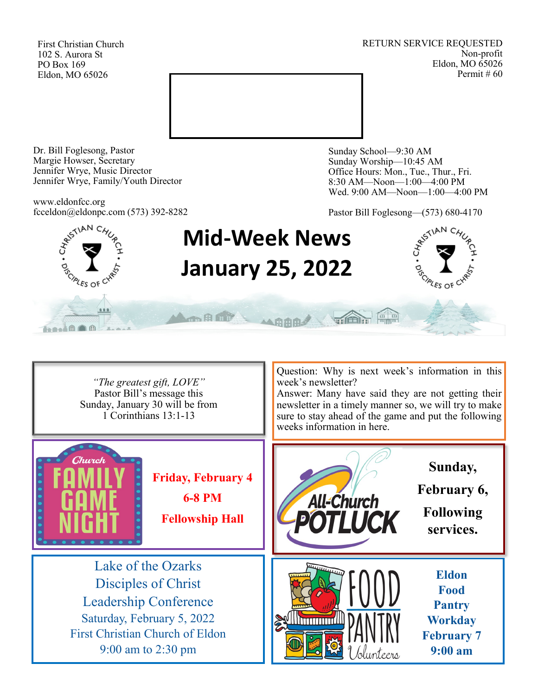First Christian Church 102 S. Aurora St PO Box 169 Eldon, MO 65026

RETURN SERVICE REQUESTED Non-profit Eldon, MO 65026 Permit # 60



Dr. Bill Foglesong, Pastor Margie Howser, Secretary Jennifer Wrye, Music Director Jennifer Wrye, Family/Youth Director

www.eldonfcc.org fcceldon@eldonpc.com (573) 392-8282 Sunday School—9:30 AM Sunday Worship—10:45 AM Office Hours: Mon., Tue., Thur., Fri. 8:30 AM—Noon—1:00—4:00 PM Wed. 9:00 AM—Noon—1:00—4:00 PM

Pastor Bill Foglesong—(573) 680-4170